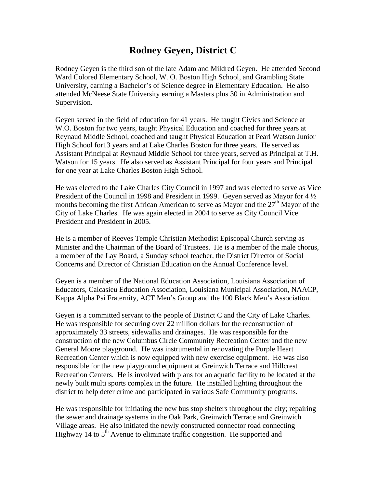## **Rodney Geyen, District C**

Rodney Geyen is the third son of the late Adam and Mildred Geyen. He attended Second Ward Colored Elementary School, W. O. Boston High School, and Grambling State University, earning a Bachelor's of Science degree in Elementary Education. He also attended McNeese State University earning a Masters plus 30 in Administration and Supervision.

Geyen served in the field of education for 41 years. He taught Civics and Science at W.O. Boston for two years, taught Physical Education and coached for three years at Reynaud Middle School, coached and taught Physical Education at Pearl Watson Junior High School for13 years and at Lake Charles Boston for three years. He served as Assistant Principal at Reynaud Middle School for three years, served as Principal at T.H. Watson for 15 years. He also served as Assistant Principal for four years and Principal for one year at Lake Charles Boston High School.

He was elected to the Lake Charles City Council in 1997 and was elected to serve as Vice President of the Council in 1998 and President in 1999. Geyen served as Mayor for 4  $\frac{1}{2}$ months becoming the first African American to serve as Mayor and the  $27<sup>th</sup>$  Mayor of the City of Lake Charles. He was again elected in 2004 to serve as City Council Vice President and President in 2005.

He is a member of Reeves Temple Christian Methodist Episcopal Church serving as Minister and the Chairman of the Board of Trustees. He is a member of the male chorus, a member of the Lay Board, a Sunday school teacher, the District Director of Social Concerns and Director of Christian Education on the Annual Conference level.

Geyen is a member of the National Education Association, Louisiana Association of Educators, Calcasieu Education Association, Louisiana Municipal Association, NAACP, Kappa Alpha Psi Fraternity, ACT Men's Group and the 100 Black Men's Association.

Geyen is a committed servant to the people of District C and the City of Lake Charles. He was responsible for securing over 22 million dollars for the reconstruction of approximately 33 streets, sidewalks and drainages. He was responsible for the construction of the new Columbus Circle Community Recreation Center and the new General Moore playground. He was instrumental in renovating the Purple Heart Recreation Center which is now equipped with new exercise equipment. He was also responsible for the new playground equipment at Greinwich Terrace and Hillcrest Recreation Centers. He is involved with plans for an aquatic facility to be located at the newly built multi sports complex in the future. He installed lighting throughout the district to help deter crime and participated in various Safe Community programs.

He was responsible for initiating the new bus stop shelters throughout the city; repairing the sewer and drainage systems in the Oak Park, Greinwich Terrace and Greinwich Village areas. He also initiated the newly constructed connector road connecting Highway 14 to  $5<sup>th</sup>$  Avenue to eliminate traffic congestion. He supported and